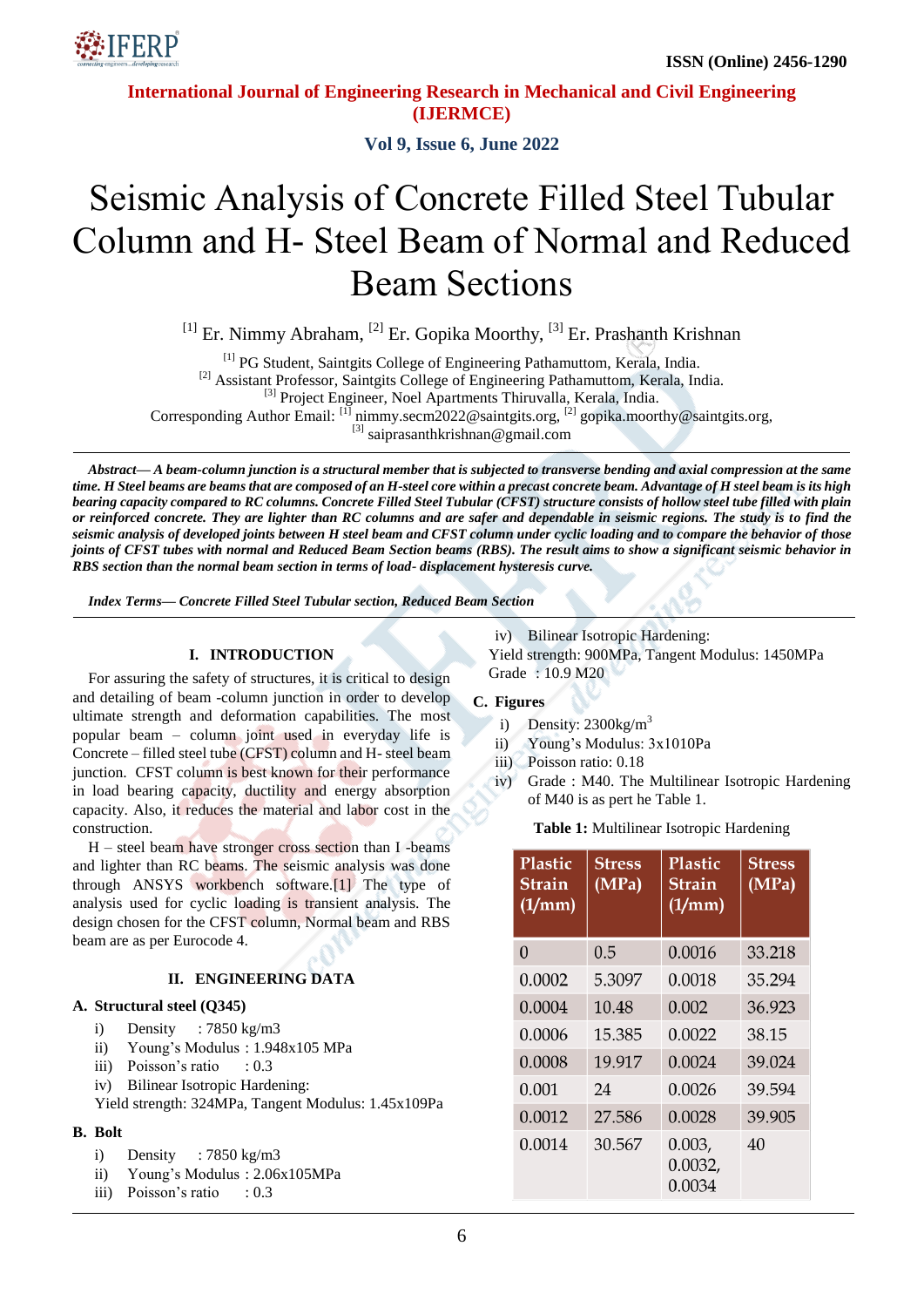

 **ISSN (Online) 2456-1290**

**International Journal of Engineering Research in Mechanical and Civil Engineering (IJERMCE)**

**Vol 9, Issue 6, June 2022**

# Seismic Analysis of Concrete Filled Steel Tubular Column and H- Steel Beam of Normal and Reduced Beam Sections

 $^{[1]}$  Er. Nimmy Abraham,  $^{[2]}$  Er. Gopika Moorthy,  $^{[3]}$  Er. Prashanth Krishnan

[1] PG Student, Saintgits College of Engineering Pathamuttom, Kerala, India.

<sup>[2]</sup> Assistant Professor, Saintgits College of Engineering Pathamuttom, Kerala, India.

<sup>[3]</sup> Project Engineer, Noel Apartments Thiruvalla, Kerala, India.

Corresponding Author Email: [1] nimmy.secm2022@saintgits.org, [2] gopika.moorthy@saintgits.org,

 $^{[3]}$  saiprasanthkrishnan@gmail.com

*Abstract— A beam-column junction is a structural member that is subjected to transverse bending and axial compression at the same time. H Steel beams are beams that are composed of an H-steel core within a precast concrete beam. Advantage of H steel beam is its high bearing capacity compared to RC columns. Concrete Filled Steel Tubular (CFST) structure consists of hollow steel tube filled with plain or reinforced concrete. They are lighter than RC columns and are safer and dependable in seismic regions. The study is to find the seismic analysis of developed joints between H steel beam and CFST column under cyclic loading and to compare the behavior of those joints of CFST tubes with normal and Reduced Beam Section beams (RBS). The result aims to show a significant seismic behavior in RBS section than the normal beam section in terms of load- displacement hysteresis curve.*

*Index Terms— Concrete Filled Steel Tubular section, Reduced Beam Section*

#### **I. INTRODUCTION**

For assuring the safety of structures, it is critical to design and detailing of beam -column junction in order to develop ultimate strength and deformation capabilities. The most popular beam – column joint used in everyday life is Concrete – filled steel tube (CFST) column and H- steel beam junction. CFST column is best known for their performance in load bearing capacity, ductility and energy absorption capacity. Also, it reduces the material and labor cost in the construction.

H – steel beam have stronger cross section than I -beams and lighter than RC beams. The seismic analysis was done through ANSYS workbench software.[1] The type of analysis used for cyclic loading is transient analysis. The design chosen for the CFST column, Normal beam and RBS beam are as per Eurocode 4.

#### **II. ENGINEERING DATA**

#### **A. Structural steel (Q345)**

- i) Density : 7850 kg/m3
- ii) Young's Modulus : 1.948x105 MPa
- iii) Poisson's ratio : 0.3
- iv) Bilinear Isotropic Hardening:

Yield strength: 324MPa, Tangent Modulus: 1.45x109Pa

## **B. Bolt**

- i) Density : 7850 kg/m3
- ii) Young's Modulus : 2.06x105MPa
- iii) Poisson's ratio : 0.3

iv) Bilinear Isotropic Hardening: Yield strength: 900MPa, Tangent Modulus: 1450MPa Grade : 10.9 M20

#### **C. Figures**

- i) Density:  $2300 \text{kg/m}^3$
- ii) Young's Modulus: 3x1010Pa
- iii) Poisson ratio: 0.18
- iv) Grade : M40. The Multilinear Isotropic Hardening of M40 is as pert he Table 1.

**Table 1:** Multilinear Isotropic Hardening

| <b>Plastic</b><br>Strain<br>(1/mm) | <b>Stress</b><br>(MPa) | Plastic<br>Strain<br>(1/mm) | <b>Stress</b><br>(MPa) |
|------------------------------------|------------------------|-----------------------------|------------------------|
| 0                                  | 0.5                    | 0.0016                      | 33.218                 |
| 0.0002                             | 5.3097                 | 0.0018                      | 35.294                 |
| 0.0004                             | 10.48                  | 0.002                       | 36.923                 |
| 0.0006                             | 15.385                 | 0.0022                      | 38.15                  |
| 0.0008                             | 19.917                 | 0.0024                      | 39.024                 |
| 0.001                              | 24                     | 0.0026                      | 39.594                 |
| 0.0012                             | 27.586                 | 0.0028                      | 39.905                 |
| 0.0014                             | 30.567                 | 0.003,<br>0.0032,<br>0.0034 | 40                     |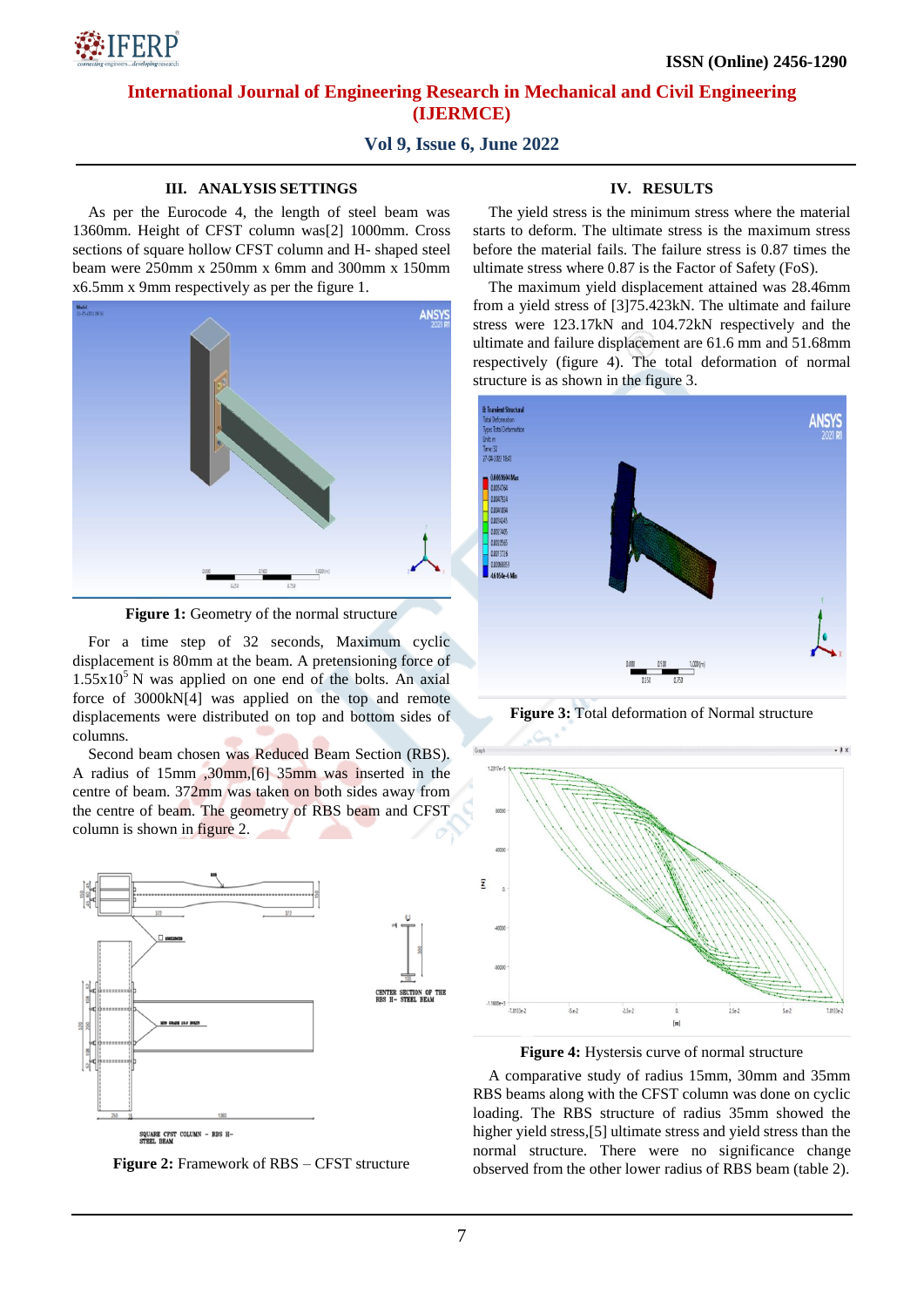

## **International Journal of Engineering Research in Mechanical and Civil Engineering (IJERMCE)**

## **Vol 9, Issue 6, June 2022**

#### **III. ANALYSIS SETTINGS**

As per the Eurocode 4, the length of steel beam was 1360mm. Height of CFST column was[2] 1000mm. Cross sections of square hollow CFST column and H- shaped steel beam were 250mm x 250mm x 6mm and 300mm x 150mm x6.5mm x 9mm respectively as per the figure 1.



**Figure 1:** Geometry of the normal structure

For a time step of 32 seconds, Maximum cyclic displacement is 80mm at the beam. A pretensioning force of  $1.55x10<sup>5</sup>$  N was applied on one end of the bolts. An axial force of 3000kN[4] was applied on the top and remote displacements were distributed on top and bottom sides of columns.

Second beam chosen was Reduced Beam Section (RBS). A radius of 15mm ,30mm,[6] 35mm was inserted in the centre of beam. 372mm was taken on both sides away from the centre of beam. The geometry of RBS beam and CFST column is shown in figure 2.



SQUARE CFST COLUMN - RBS H-<br>STEEL BEAM

**Figure 2:** Framework of RBS – CFST structure

# **IV. RESULTS**

The yield stress is the minimum stress where the material starts to deform. The ultimate stress is the maximum stress before the material fails. The failure stress is 0.87 times the ultimate stress where 0.87 is the Factor of Safety (FoS).

The maximum yield displacement attained was 28.46mm from a yield stress of [3]75.423kN. The ultimate and failure stress were 123.17kN and 104.72kN respectively and the ultimate and failure displacement are 61.6 mm and 51.68mm respectively (figure 4). The total deformation of normal structure is as shown in the figure 3.



**Figure 3:** Total deformation of Normal structure





A comparative study of radius 15mm, 30mm and 35mm RBS beams along with the CFST column was done on cyclic loading. The RBS structure of radius 35mm showed the higher yield stress,[5] ultimate stress and yield stress than the normal structure. There were no significance change observed from the other lower radius of RBS beam (table 2).